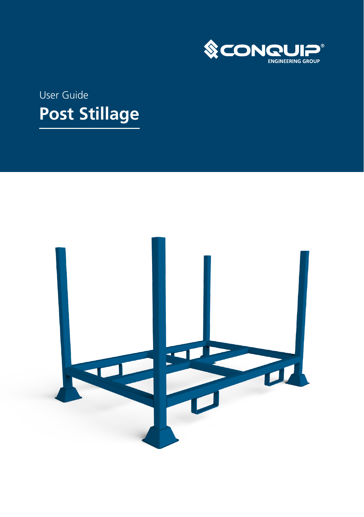

# User Guide **Post Stillage**

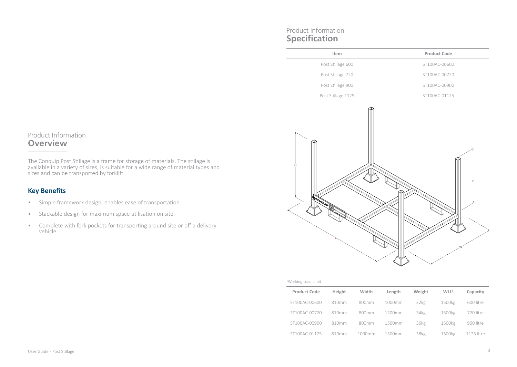### Product Information **Overview**

The Conquip Post Stillage is a frame for storage of materials. The stillage is available in a variety of sizes, is suitable for a wide range of material types and sizes and can be transported by forklift.

# **Key Benefits**

- Simple framework design, enables ease of transportation.
- Stackable design for maximum space utilisation on site.
- Complete with fork pockets for transporting around site or off a delivery vehicle.

# Product Information **Specification**

| Item                 | Product Code  |
|----------------------|---------------|
| Post Stillage 600    | ST100AC-00600 |
| Post Stillage 720    | ST100AC-00720 |
| Post Stillage 900    | ST100AC-00900 |
| Post Stillage 1125   | ST100AC-01125 |
| н<br><b>RCOMPLES</b> | <b>IH</b>     |

#### 1 Working Load Limit

| <b>Product Code</b> | Height | Width             | Length | Weight           | WLL <sup>1</sup> | Capacity   |  |
|---------------------|--------|-------------------|--------|------------------|------------------|------------|--|
| ST100AC-00600       | 810mm  | 800mm             | 1000mm | 32 <sub>kg</sub> | 1500kg           | 600 litre  |  |
| ST100AC-00720       | 810mm  | 800mm             | 1200mm | 34kg             | 1500kg           | 720 litre  |  |
| ST100AC-00900       | 810mm  | 800 <sub>mm</sub> | 1500mm | 36kg             | 1500kg           | 900 litre  |  |
| ST100AC-01125       | 810mm  | 1000mm            | 1500mm | 38kg             | 1500kg           | 1125 litre |  |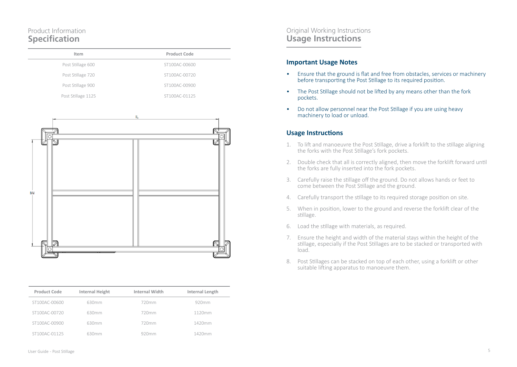# Product Information **Specification**

| Item               | Product Code  |
|--------------------|---------------|
| Post Stillage 600  | ST100AC-00600 |
| Post Stillage 720  | ST100AC-00720 |
| Post Stillage 900  | ST100AC-00900 |
| Post Stillage 1125 | ST100AC-01125 |



| <b>Product Code</b> | <b>Internal Height</b> | Internal Width | Internal Length |
|---------------------|------------------------|----------------|-----------------|
| ST100AC-00600       | 630mm                  | 720mm          | 920mm           |
| ST100AC-00720       | 630mm                  | 720mm          | 1120mm          |
| ST100AC-00900       | 630mm                  | 720mm          | 1420mm          |
| ST100AC-01125       | 630mm                  | 920mm          | 1420mm          |

### Original Working Instructions **Usage Instructions**

### **Important Usage Notes**

- Ensure that the ground is flat and free from obstacles, services or machinery before transporting the Post Stillage to its required position.
- The Post Stillage should not be lifted by any means other than the fork pockets.
- Do not allow personnel near the Post Stillage if you are using heavy machinery to load or unload.

### **Usage Instructions**

- 1. To lift and manoeuvre the Post Stillage, drive a forklift to the stillage aligning the forks with the Post Stillage's fork pockets.
- 2. Double check that all is correctly aligned, then move the forklift forward until the forks are fully inserted into the fork pockets.
- 3. Carefully raise the stillage off the ground. Do not allows hands or feet to come between the Post Stillage and the ground.
- 4. Carefully transport the stillage to its required storage position on site.
- 5. When in position, lower to the ground and reverse the forklift clear of the stillage.
- 6. Load the stillage with materials, as required.
- 7. Ensure the height and width of the material stays within the height of the stillage, especially if the Post Stillages are to be stacked or transported with load.
- 8. Post Stillages can be stacked on top of each other, using a forklift or other suitable lifting apparatus to manoeuvre them.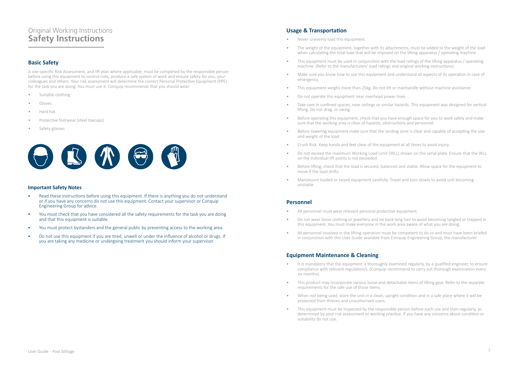# Original Working Instructions **Safety Instructions**

### **Basic Safety**

A site-specific Risk Assessment, and lift plan where applicable, must be completed by the responsible person before using this equipment to control risks, produce a safe system of work and ensure safety for you, your colleagues and others. Your risk assessment will determine the correct Personal Protective Equipment (PPE) for the task you are doing. You must use it. Conquip recommends that you should wear:

- Suitable clothing
- Gloves
- Hard hat
- Protective footwear (steel toecaps)
- Safety glasses



#### **Important Safety Notes**

- Read these instructions before using this equipment. If there is anything you do not understand or if you have any concerns do not use this equipment. Contact your supervisor or Conquip Engineering Group for advice.
- You must check that you have considered all the safety requirements for the task you are doing and that this equipment is suitable.
- You must protect bystanders and the general public by preventing access to the working area.
- Do not use this equipment if you are tired, unwell or under the influence of alcohol or drugs. If you are taking any medicine or undergoing treatment you should inform your supervisor.

### **Usage & Transportation**

- Never unevenly load this equipment.
- The weight of the equipment, together with its attachments, must be added to the weight of the load when calculating the total load that will be imposed on the lifting apparatus / operating machine.
- This equipment must be used in conjunction with the load ratings of the lifting apparatus / operating machine. (Refer to the manufacturers' load ratings and original working instructions).
- Make sure you know how to use this equipment and understand all aspects of its operation in case of emergency.
- This equipment weighs more than 25kg. Do not lift or manhandle without machine assistance.
- Do not operate this equipment near overhead power lines.
- Take care in confined spaces, near ceilings or similar hazards. This equipment was designed for vertical lifting. Do not drag, or swing.
- Before operating this equipment, check that you have enough space for you to work safely and make sure that the working area is clear of hazards, obstructions and personnel.
- Before lowering equipment make sure that the landing zone is clear and capable of accepting the size and weight of the load.
- Crush Risk. Keep hands and feet clear of the equipment at all times to avoid injury.
- Do not exceed the maximum Working Load Limit (WLL) shown on the serial plate. Ensure that the WLL on the individual lift points is not exceeded.
- Before lifting, check that the load is secured, balanced and stable. Allow space for the equipment to move if the load shifts.
- Manoeuvre loaded or raised equipment carefully. Travel and turn slowly to avoid unit becoming unstable.

#### **Personnel**

- All personnel must wear relevant personal protective equipment.
- Do not wear loose clothing or jewellery and tie back long hair to avoid becoming tangled or trapped in this equipment. You must make everyone in the work area aware of what you are doing.
- All personnel involved in the lifting operation must be competent to do so and must have been briefed in conjunction with this User Guide available from Conquip Engineering Group, the manufacturer.

#### **Equipment Maintenance & Cleaning**

- It is mandatory that the equipment is thoroughly examined regularly, by a qualified engineer, to ensure compliance with relevant regulation/s. (Conquip recommend to carry out thorough examination every six months).
- This product may incorporate various loose and detachable items of lifting gear. Refer to the separate requirements for the safe use of those items.
- When not being used, store the unit in a clean, upright condition and in a safe place where it will be protected from thieves and unauthorised users.
- This equipment must be inspected by the responsible person before each use and then regularly, as determined by your risk assessment or working practice. If you have any concerns about condition or suitability do not use.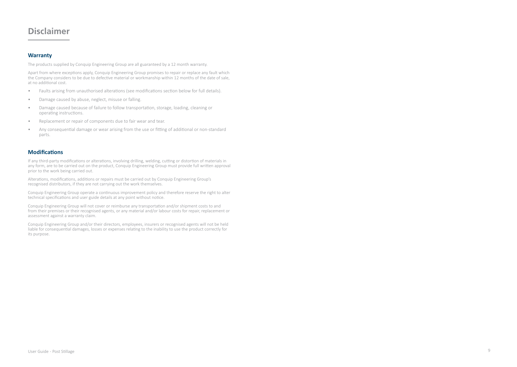# **Disclaimer**

### **Warranty**

The products supplied by Conquip Engineering Group are all guaranteed by a 12 month warranty.

Apart from where exceptions apply, Conquip Engineering Group promises to repair or replace any fault which the Company considers to be due to defective material or workmanship within 12 months of the date of sale, at no additional cost.

- Faults arising from unauthorised alterations (see modifications section below for full details).
- Damage caused by abuse, neglect, misuse or falling.
- Damage caused because of failure to follow transportation, storage, loading, cleaning or operating instructions.
- Replacement or repair of components due to fair wear and tear.
- Any consequential damage or wear arising from the use or fitting of additional or non-standard parts.

#### **Modifications**

If any third-party modifications or alterations, involving drilling, welding, cutting or distortion of materials in any form, are to be carried out on the product, Conquip Engineering Group must provide full written approval prior to the work being carried out.

Alterations, modifications, additions or repairs must be carried out by Conquip Engineering Group's recognised distributors, if they are not carrying out the work themselves.

Conquip Engineering Group operate a continuous improvement policy and therefore reserve the right to alter technical specifications and user guide details at any point without notice.

Conquip Engineering Group will not cover or reimburse any transportation and/or shipment costs to and from their premises or their recognised agents, or any material and/or labour costs for repair, replacement or assessment against a warranty claim.

Conquip Engineering Group and/or their directors, employees, insurers or recognised agents will not be held liable for consequential damages, losses or expenses relating to the inability to use the product correctly for its purpose.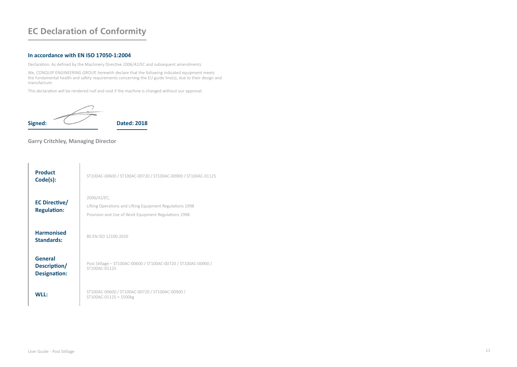# **EC Declaration of Conformity**

#### **In accordance with EN ISO 17050-1:2004**

Declaration: As defined by the Machinery Directive 2006/42/EC and subsequent amendments

We, CONQUIP ENGINEERING GROUP, herewith declare that the following indicated equipment meets the fundamental health and safety requirements concerning the EU guide line(s), due to their design and manufacture.

This declaration will be rendered null and void if the machine is changed without our approval.



### **Garry Critchley, Managing Director**

| <b>Product</b><br>Code(s):              | ST100AC-00600 / ST100AC-00720 / ST100AC-00900 / ST100AC-01125                                                                    |
|-----------------------------------------|----------------------------------------------------------------------------------------------------------------------------------|
| EC Directive/<br><b>Regulation:</b>     | 2006/42/EC,<br>Lifting Operations and Lifting Equipment Regulations 1998<br>Provision and Use of Work Equipment Regulations 1998 |
| <b>Harmonised</b><br>Standards:         | BS FN ISO 12100:2010                                                                                                             |
| General<br>Description/<br>Designation: | Post Stillage - ST100AC-00600 / ST100AC-00720 / ST100AC-00900 /<br>ST100AC-01125                                                 |
| WII:                                    | ST100AC-00600 / ST100AC-00720 / ST100AC-00900 /<br>ST100AC-01125 = 1500kg                                                        |